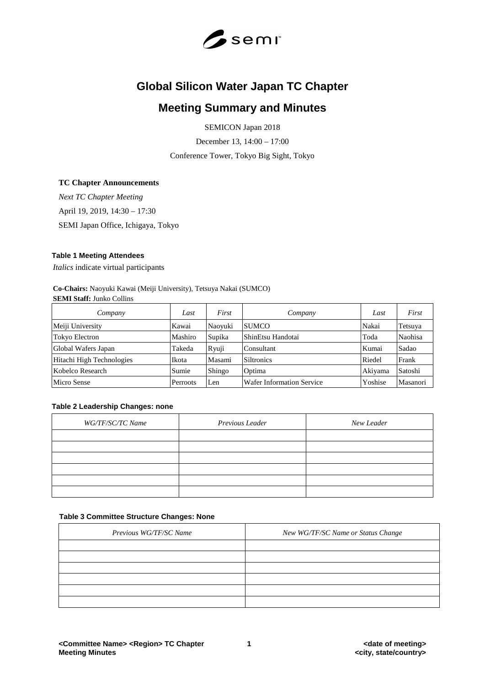

# **Global Silicon Water Japan TC Chapter**

## **Meeting Summary and Minutes**

SEMICON Japan 2018

December 13, 14:00 – 17:00

Conference Tower, Tokyo Big Sight, Tokyo

## **TC Chapter Announcements**

*Next TC Chapter Meeting* April 19, 2019, 14:30 – 17:30

SEMI Japan Office, Ichigaya, Tokyo

#### **Table 1 Meeting Attendees**

*Italics* indicate virtual participants

**Co-Chairs:** Naoyuki Kawai (Meiji University), Tetsuya Nakai (SUMCO) **SEMI Staff:** Junko Collins

| Company                          | Last   | First   | Company                   | Last    | First    |
|----------------------------------|--------|---------|---------------------------|---------|----------|
| Meiji University<br>Kawai        |        | Naoyuki | <b>SUMCO</b>              | Nakai   | Tetsuya  |
| Mashiro<br><b>Tokyo Electron</b> |        | Supika  | ShinEtsu Handotai         | Toda    | Naohisa  |
| Global Wafers Japan              | Takeda | Ryuji   | Consultant                | Kumai   | Sadao    |
| Hitachi High Technologies        | Ikota  | Masami  | Siltronics                | Riedel  | Frank    |
| Kobelco Research                 | Sumie  | Shingo  | Optima                    | Akiyama | Satoshi  |
| Micro Sense<br>Perroots          |        | Len     | Wafer Information Service | Yoshise | Masanori |

#### **Table 2 Leadership Changes: none**

| WG/TF/SC/TC Name | Previous Leader | New Leader |
|------------------|-----------------|------------|
|                  |                 |            |
|                  |                 |            |
|                  |                 |            |
|                  |                 |            |
|                  |                 |            |
|                  |                 |            |

#### **Table 3 Committee Structure Changes: None**

| Previous WG/TF/SC Name | New WG/TF/SC Name or Status Change |
|------------------------|------------------------------------|
|                        |                                    |
|                        |                                    |
|                        |                                    |
|                        |                                    |
|                        |                                    |
|                        |                                    |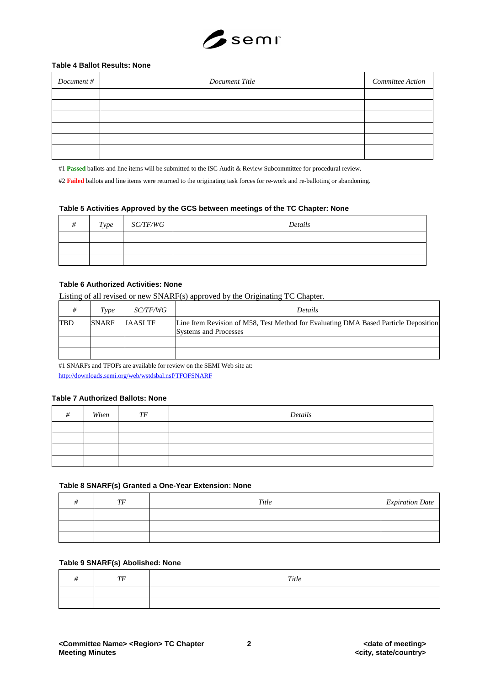

#### **Table 4 Ballot Results: None**

| Document # | Document Title | Committee Action |
|------------|----------------|------------------|
|            |                |                  |
|            |                |                  |
|            |                |                  |
|            |                |                  |
|            |                |                  |
|            |                |                  |

#1 **Passed** ballots and line items will be submitted to the ISC Audit & Review Subcommittee for procedural review.

#2 Failed ballots and line items were returned to the originating task forces for re-work and re-balloting or abandoning.

#### **Table 5 Activities Approved by the GCS between meetings of the TC Chapter: None**

| Type | <i>SC/TF/WG</i> | Details |
|------|-----------------|---------|
|      |                 |         |
|      |                 |         |
|      |                 |         |

## **Table 6 Authorized Activities: None**

Listing of all revised or new SNARF(s) approved by the Originating TC Chapter.

|            | Type         | <i>SC/TF/WG</i> | <b>Details</b>                                                                                                      |
|------------|--------------|-----------------|---------------------------------------------------------------------------------------------------------------------|
| <b>TBD</b> | <b>SNARF</b> | <b>IAASI TF</b> | Line Item Revision of M58, Test Method for Evaluating DMA Based Particle Deposition<br><b>Systems and Processes</b> |
|            |              |                 |                                                                                                                     |
|            |              |                 |                                                                                                                     |

#1 SNARFs and TFOFs are available for review on the SEMI Web site at: <http://downloads.semi.org/web/wstdsbal.nsf/TFOFSNARF>

#### **Table 7 Authorized Ballots: None**

| When | TF | Details |
|------|----|---------|
|      |    |         |
|      |    |         |
|      |    |         |
|      |    |         |

#### **Table 8 SNARF(s) Granted a One-Year Extension: None**

| TF | Title | <b>Expiration Date</b> |
|----|-------|------------------------|
|    |       |                        |
|    |       |                        |
|    |       |                        |

#### **Table 9 SNARF(s) Abolished: None**

| TF | $\emph{Title}$ |
|----|----------------|
|    |                |
|    |                |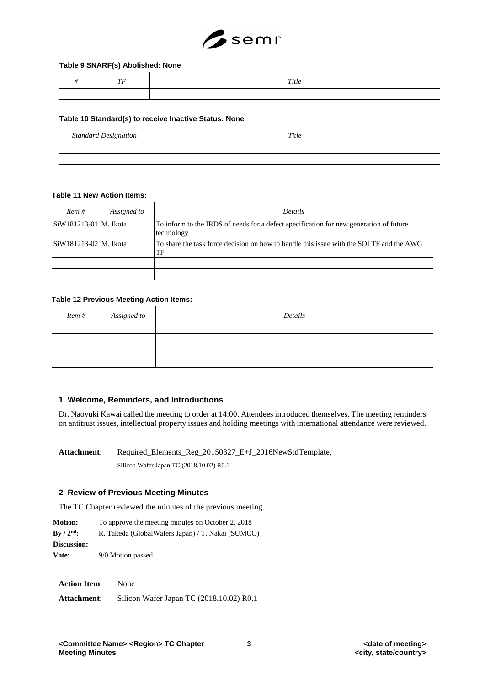

#### **Table 9 SNARF(s) Abolished: None**

|  | Title |
|--|-------|
|  |       |

#### **Table 10 Standard(s) to receive Inactive Status: None**

| <b>Standard Designation</b> | Title |
|-----------------------------|-------|
|                             |       |
|                             |       |
|                             |       |

#### **Table 11 New Action Items:**

| Item $#$                                     | Assigned to | <i>Details</i>                                                                                       |
|----------------------------------------------|-------------|------------------------------------------------------------------------------------------------------|
| SiW181213-01   M. Ikota                      |             | To inform to the IRDS of needs for a defect specification for new generation of future<br>technology |
| $\left \frac{S}{W181213-02}\right $ M. Ikota |             | To share the task force decision on how to handle this issue with the SOI TF and the AWG<br>TF       |
|                                              |             |                                                                                                      |
|                                              |             |                                                                                                      |

#### **Table 12 Previous Meeting Action Items:**

| <i>Item</i> # Assigned to | Details |
|---------------------------|---------|
|                           |         |
|                           |         |
|                           |         |
|                           |         |

#### **1 Welcome, Reminders, and Introductions**

Dr. Naoyuki Kawai called the meeting to order at 14:00. Attendees introduced themselves. The meeting reminders on antitrust issues, intellectual property issues and holding meetings with international attendance were reviewed.

Attachment: Required Elements Reg\_20150327\_E+J\_2016NewStdTemplate, Silicon Wafer Japan TC (2018.10.02) R0.1

#### **2 Review of Previous Meeting Minutes**

The TC Chapter reviewed the minutes of the previous meeting.

**Motion:** To approve the meeting minutes on October 2, 2018 **By / 2nd:** R. Takeda (GlobalWafers Japan) / T. Nakai (SUMCO) **Discussion: Vote:** 9/0 Motion passed

| Action Item: |  | None   |         |  |           |  |
|--------------|--|--------|---------|--|-----------|--|
|              |  | $   -$ | $- - -$ |  | --------- |  |

**Attachment**: Silicon Wafer Japan TC (2018.10.02) R0.1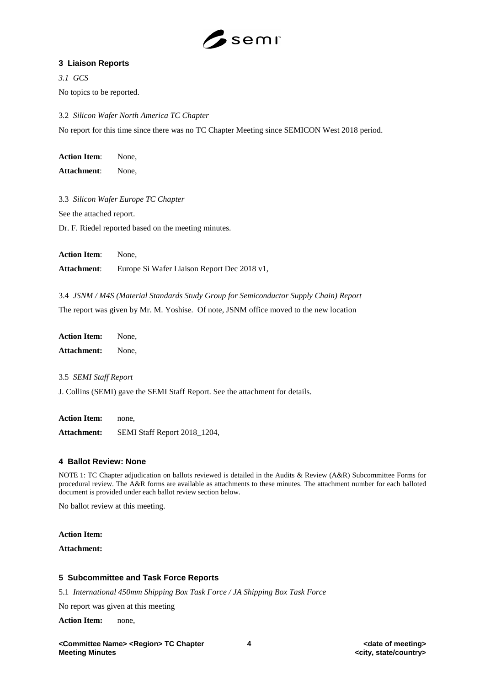

## **3 Liaison Reports**

*3.1 GCS*  No topics to be reported.

3.2 *Silicon Wafer North America TC Chapter* No report for this time since there was no TC Chapter Meeting since SEMICON West 2018 period.

**Action Item**: None, **Attachment**: None,

3.3 *Silicon Wafer Europe TC Chapter* See the attached report.

Dr. F. Riedel reported based on the meeting minutes.

**Action Item**: None, **Attachment**: Europe Si Wafer Liaison Report Dec 2018 v1,

3.4 *JSNM / M4S (Material Standards Study Group for Semiconductor Supply Chain) Report* The report was given by Mr. M. Yoshise. Of note, JSNM office moved to the new location

**Action Item:** None, **Attachment:** None,

3.5 *SEMI Staff Report*

J. Collins (SEMI) gave the SEMI Staff Report. See the attachment for details.

**Action Item:** none, **Attachment:** SEMI Staff Report 2018\_1204,

## **4 Ballot Review: None**

NOTE 1: TC Chapter adjudication on ballots reviewed is detailed in the Audits & Review (A&R) Subcommittee Forms for procedural review. The A&R forms are available as attachments to these minutes. The attachment number for each balloted document is provided under each ballot review section below.

No ballot review at this meeting.

#### **Action Item:**

**Attachment:**

## **5 Subcommittee and Task Force Reports**

5.1 *International 450mm Shipping Box Task Force / JA Shipping Box Task Force*

No report was given at this meeting

**Action Item:** none,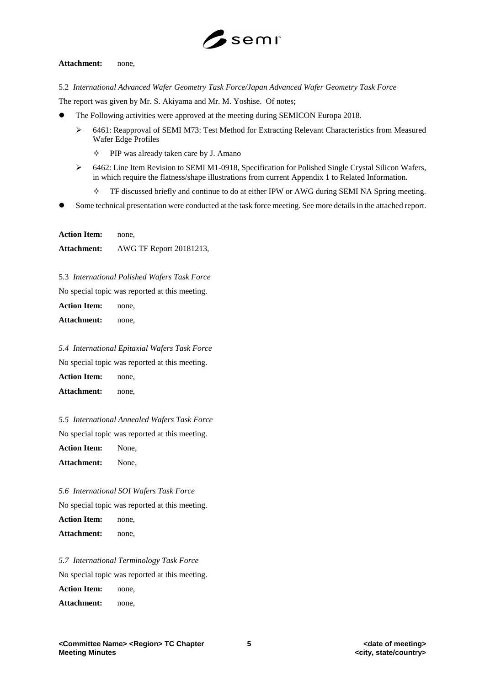

#### **Attachment:** none,

5.2 *International Advanced Wafer Geometry Task Force/Japan Advanced Wafer Geometry Task Force*

The report was given by Mr. S. Akiyama and Mr. M. Yoshise. Of notes;

- The Following activities were approved at the meeting during SEMICON Europa 2018.
	- 6461: Reapproval of SEMI M73: Test Method for Extracting Relevant Characteristics from Measured Wafer Edge Profiles
		- $\Diamond$  PIP was already taken care by J. Amano
	- 6462: Line Item Revision to SEMI M1-0918, Specification for Polished Single Crystal Silicon Wafers, in which require the flatness/shape illustrations from current Appendix 1 to Related Information.
		- $\Diamond$  TF discussed briefly and continue to do at either IPW or AWG during SEMI NA Spring meeting.
- Some technical presentation were conducted at the task force meeting. See more details in the attached report.

**Action Item:** none, **Attachment:** AWG TF Report 20181213,

5.3 *International Polished Wafers Task Force*

No special topic was reported at this meeting.

**Action Item:** none,

**Attachment:** none,

*5.4 International Epitaxial Wafers Task Force* No special topic was reported at this meeting. **Action Item:** none, **Attachment:** none,

*5.5 International Annealed Wafers Task Force*

No special topic was reported at this meeting.

**Action Item:** None,

**Attachment:** None,

*5.6 International SOI Wafers Task Force*

No special topic was reported at this meeting.

**Action Item:** none,

**Attachment:** none,

*5.7 International Terminology Task Force*

No special topic was reported at this meeting.

**Action Item:** none,

**Attachment:** none,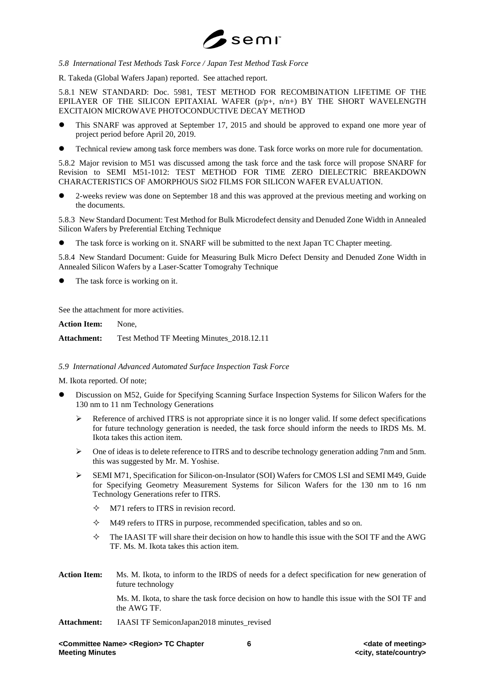

#### *5.8 International Test Methods Task Force / Japan Test Method Task Force*

R. Takeda (Global Wafers Japan) reported. See attached report.

5.8.1 NEW STANDARD: Doc. 5981, TEST METHOD FOR RECOMBINATION LIFETIME OF THE EPILAYER OF THE SILICON EPITAXIAL WAFER (p/p+, n/n+) BY THE SHORT WAVELENGTH EXCITAION MICROWAVE PHOTOCONDUCTIVE DECAY METHOD

- This SNARF was approved at September 17, 2015 and should be approved to expand one more year of project period before April 20, 2019.
- Technical review among task force members was done. Task force works on more rule for documentation.

5.8.2 Major revision to M51 was discussed among the task force and the task force will propose SNARF for Revision to SEMI M51-1012: TEST METHOD FOR TIME ZERO DIELECTRIC BREAKDOWN CHARACTERISTICS OF AMORPHOUS SiO2 FILMS FOR SILICON WAFER EVALUATION.

 2-weeks review was done on September 18 and this was approved at the previous meeting and working on the documents.

5.8.3 New Standard Document: Test Method for Bulk Microdefect density and Denuded Zone Width in Annealed Silicon Wafers by Preferential Etching Technique

The task force is working on it. SNARF will be submitted to the next Japan TC Chapter meeting.

5.8.4 New Standard Document: Guide for Measuring Bulk Micro Defect Density and Denuded Zone Width in Annealed Silicon Wafers by a Laser-Scatter Tomograhy Technique

The task force is working on it.

See the attachment for more activities.

**Action Item:** None,

**Attachment:** Test Method TF Meeting Minutes\_2018.12.11

#### *5.9 International Advanced Automated Surface Inspection Task Force*

M. Ikota reported. Of note;

- Discussion on M52, Guide for Specifying Scanning Surface Inspection Systems for Silicon Wafers for the 130 nm to 11 nm Technology Generations
	- Reference of archived ITRS is not appropriate since it is no longer valid. If some defect specifications for future technology generation is needed, the task force should inform the needs to IRDS Ms. M. Ikota takes this action item.
	- One of ideas is to delete reference to ITRS and to describe technology generation adding 7nm and 5nm. this was suggested by Mr. M. Yoshise.
	- SEMI M71, Specification for Silicon-on-Insulator (SOI) Wafers for CMOS LSI and SEMI M49, Guide for Specifying Geometry Measurement Systems for Silicon Wafers for the 130 nm to 16 nm Technology Generations refer to ITRS.
		- $\Diamond$  M71 refers to ITRS in revision record.
		- $\Diamond$  M49 refers to ITRS in purpose, recommended specification, tables and so on.
		- $\Diamond$  The IAASI TF will share their decision on how to handle this issue with the SOI TF and the AWG TF. Ms. M. Ikota takes this action item.
- **Action Item:** Ms. M. Ikota, to inform to the IRDS of needs for a defect specification for new generation of future technology

Ms. M. Ikota, to share the task force decision on how to handle this issue with the SOI TF and the AWG TF.

Attachment: IAASI TF SemiconJapan2018 minutes revised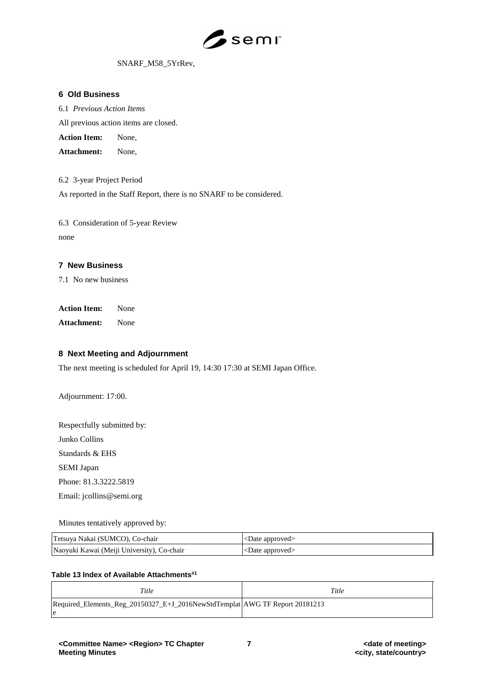

#### SNARF\_M58\_5YrRev,

#### **6 Old Business**

6.1 *Previous Action Items*

All previous action items are closed.

**Action Item:** None,

**Attachment:** None,

6.2 3-year Project Period

As reported in the Staff Report, there is no SNARF to be considered.

6.3 Consideration of 5-year Review none

#### **7 New Business**

7.1 No new business

**Action Item:** None

**Attachment:** None

## **8 Next Meeting and Adjournment**

The next meeting is scheduled for April 19, 14:30 17:30 at SEMI Japan Office.

Adjournment: 17:00.

Respectfully submitted by: Junko Collins

Standards & EHS

SEMI Japan

Phone: 81.3.3222.5819

Email: jcollins@semi.org

Minutes tentatively approved by:

| Tetsuya Nakai (SUMCO), Co-chair            | $\leq$ Date approved $\geq$   |
|--------------------------------------------|-------------------------------|
| Naoyuki Kawai (Meiji University), Co-chair | $ $ <date approved=""></date> |

#### **Table 13 Index of Available Attachments#1**

| Title                                                                       | Title |  |  |
|-----------------------------------------------------------------------------|-------|--|--|
| Required Elements Reg 20150327 E+J 2016NewStdTemplat AWG TF Report 20181213 |       |  |  |
| e                                                                           |       |  |  |